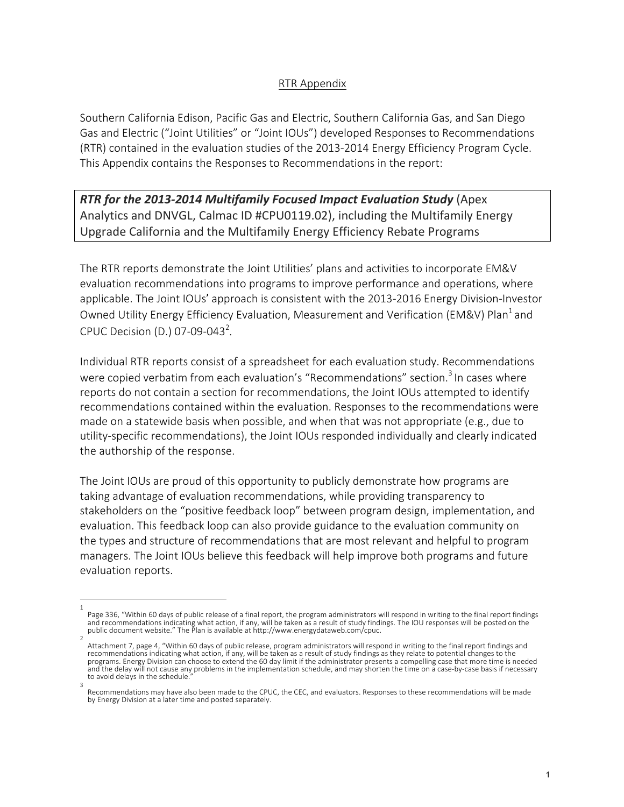## RTR Appendix

Southern California Edison, Pacific Gas and Electric, Southern California Gas, and San Diego Gas and Electric ("Joint Utilities" or "Joint IOUs") developed Responses to Recommendations (RTR) contained in the evaluation studies of the 2013-2014 Energy Efficiency Program Cycle. This Appendix contains the Responses to Recommendations in the report:

*RTR* **for the 2013-2014 Multifamily Focused Impact Evaluation Study (Apex)** Analytics and DNVGL, Calmac ID #CPU0119.02), including the Multifamily Energy Upgrade California and the Multifamily Energy Efficiency Rebate Programs

The RTR reports demonstrate the Joint Utilities' plans and activities to incorporate EM&V evaluation recommendations into programs to improve performance and operations, where applicable. The Joint IOUs' approach is consistent with the 2013-2016 Energy Division-Investor Owned Utility Energy Efficiency Evaluation, Measurement and Verification (EM&V) Plan<sup>1</sup> and CPUC Decision (D.) 07-09-043<sup>2</sup>.

Individual RTR reports consist of a spreadsheet for each evaluation study. Recommendations were copied verbatim from each evaluation's "Recommendations" section.<sup>3</sup> In cases where reports do not contain a section for recommendations, the Joint IOUs attempted to identify recommendations contained within the evaluation. Responses to the recommendations were made on a statewide basis when possible, and when that was not appropriate (e.g., due to utility-specific recommendations), the Joint IOUs responded individually and clearly indicated the authorship of the response.

The Joint IOUs are proud of this opportunity to publicly demonstrate how programs are taking advantage of evaluation recommendations, while providing transparency to stakeholders on the "positive feedback loop" between program design, implementation, and evaluation. This feedback loop can also provide guidance to the evaluation community on the types and structure of recommendations that are most relevant and helpful to program managers. The Joint IOUs believe this feedback will help improve both programs and future evaluation reports.

<sup>1</sup> Page 336, "Within 60 days of public release of a final report, the program administrators will respond in writing to the final report findings<br>and recommendations indicating what action, if any, will be taken as a result o

<sup>2</sup> Attachment 7, page 4, "Within 60 days of public release, program administrators will respond in writing to the final report findings and recommendations indicating what action, if any, will be taken as a result of study findings as they relate to potential changes to the programs. Energy Division can choose to extend the 60 day limit if the administrator presents a compelling case that more time is needed and the delay will not cause any problems in the implementation schedule, and may shorten the time on a case-by-case basis if necessary to avoid delays in the schedule.

<sup>3</sup> Recommendations may have also been made to the CPUC, the CEC, and evaluators. Responses to these recommendations will be made by Energy Division at a later time and posted separately.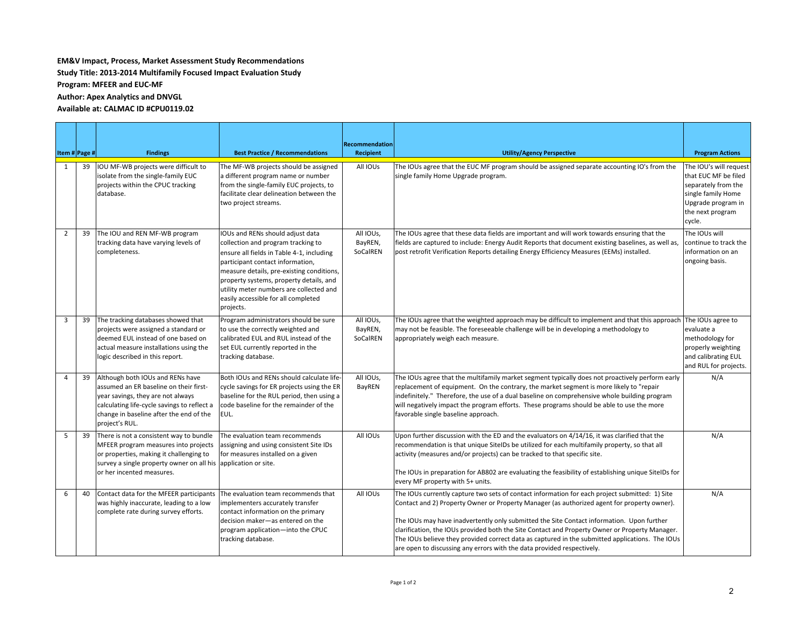## **EM&V** Impact, Process, Market Assessment Study Recommendations

**Study Title: 2013-2014 Multifamily Focused Impact Evaluation Study** 

**Program: MFEER and EUC-MF** 

**Author: Apex Analytics and DNVGL** 

## Available at: CALMAC ID #CPU0119.02

| Item # Page #  |    | <b>Findings</b>                                                                                                                                                                                                             | <b>Best Practice / Recommendations</b>                                                                                                                                                                                                                                                                                                         | <b>Recommendation</b><br>Recipient | <b>Utility/Agency Perspective</b>                                                                                                                                                                                                                                                                                                                                                                                                                                                                                                                                         | <b>Program Actions</b>                                                                                                                          |
|----------------|----|-----------------------------------------------------------------------------------------------------------------------------------------------------------------------------------------------------------------------------|------------------------------------------------------------------------------------------------------------------------------------------------------------------------------------------------------------------------------------------------------------------------------------------------------------------------------------------------|------------------------------------|---------------------------------------------------------------------------------------------------------------------------------------------------------------------------------------------------------------------------------------------------------------------------------------------------------------------------------------------------------------------------------------------------------------------------------------------------------------------------------------------------------------------------------------------------------------------------|-------------------------------------------------------------------------------------------------------------------------------------------------|
| 1              | 39 | IOU MF-WB projects were difficult to<br>isolate from the single-family EUC<br>projects within the CPUC tracking<br>database.                                                                                                | The MF-WB projects should be assigned<br>a different program name or number<br>from the single-family EUC projects, to<br>facilitate clear delineation between the<br>two project streams.                                                                                                                                                     | All IOUs                           | The IOUs agree that the EUC MF program should be assigned separate accounting IO's from the<br>single family Home Upgrade program.                                                                                                                                                                                                                                                                                                                                                                                                                                        | The IOU's will request<br>that EUC MF be filed<br>separately from the<br>single family Home<br>Upgrade program in<br>the next program<br>cycle. |
| $\overline{2}$ | 39 | The IOU and REN MF-WB program<br>tracking data have varying levels of<br>completeness.                                                                                                                                      | IOUs and RENs should adjust data<br>collection and program tracking to<br>ensure all fields in Table 4-1, including<br>participant contact information,<br>measure details, pre-existing conditions,<br>property systems, property details, and<br>utility meter numbers are collected and<br>easily accessible for all completed<br>projects. | All IOUs,<br>BayREN,<br>SoCalREN   | The IOUs agree that these data fields are important and will work towards ensuring that the<br>fields are captured to include: Energy Audit Reports that document existing baselines, as well as,<br>post retrofit Verification Reports detailing Energy Efficiency Measures (EEMs) installed.                                                                                                                                                                                                                                                                            | The IOUs will<br>continue to track the<br>information on an<br>ongoing basis.                                                                   |
| 3              | 39 | The tracking databases showed that<br>projects were assigned a standard or<br>deemed EUL instead of one based on<br>actual measure installations using the<br>logic described in this report.                               | Program administrators should be sure<br>to use the correctly weighted and<br>calibrated EUL and RUL instead of the<br>set EUL currently reported in the<br>tracking database.                                                                                                                                                                 | All IOUs,<br>BayREN,<br>SoCalREN   | The IOUs agree that the weighted approach may be difficult to implement and that this approach<br>may not be feasible. The foreseeable challenge will be in developing a methodology to<br>appropriately weigh each measure.                                                                                                                                                                                                                                                                                                                                              | The IOUs agree to<br>evaluate a<br>methodology for<br>properly weighting<br>and calibrating EUL<br>and RUL for projects.                        |
| 4              | 39 | Although both IOUs and RENs have<br>assumed an ER baseline on their first-<br>year savings, they are not always<br>calculating life-cycle savings to reflect a<br>change in baseline after the end of the<br>project's RUL. | Both IOUs and RENs should calculate life-<br>cycle savings for ER projects using the ER<br>baseline for the RUL period, then using a<br>code baseline for the remainder of the<br>EUL.                                                                                                                                                         | All IOUs,<br>BayREN                | The IOUs agree that the multifamily market segment typically does not proactively perform early<br>replacement of equipment. On the contrary, the market segment is more likely to "repair<br>indefinitely." Therefore, the use of a dual baseline on comprehensive whole building program<br>will negatively impact the program efforts. These programs should be able to use the more<br>favorable single baseline approach.                                                                                                                                            | N/A                                                                                                                                             |
| 5              | 39 | There is not a consistent way to bundle<br>MFEER program measures into projects<br>or properties, making it challenging to<br>survey a single property owner on all his application or site.<br>or her incented measures.   | The evaluation team recommends<br>assigning and using consistent Site IDs<br>for measures installed on a given                                                                                                                                                                                                                                 | All IOUs                           | Upon further discussion with the ED and the evaluators on 4/14/16, it was clarified that the<br>recommendation is that unique SiteIDs be utilized for each multifamily property, so that all<br>activity (measures and/or projects) can be tracked to that specific site.<br>The IOUs in preparation for AB802 are evaluating the feasibility of establishing unique SiteIDs for<br>every MF property with 5+ units.                                                                                                                                                      | N/A                                                                                                                                             |
| 6              | 40 | Contact data for the MFEER participants<br>was highly inaccurate, leading to a low<br>complete rate during survey efforts.                                                                                                  | The evaluation team recommends that<br>implementers accurately transfer<br>contact information on the primary<br>decision maker-as entered on the<br>program application-into the CPUC<br>tracking database.                                                                                                                                   | All IOUs                           | The IOUs currently capture two sets of contact information for each project submitted: 1) Site<br>Contact and 2) Property Owner or Property Manager (as authorized agent for property owner).<br>The IOUs may have inadvertently only submitted the Site Contact information. Upon further<br>clarification, the IOUs provided both the Site Contact and Property Owner or Property Manager.<br>The IOUs believe they provided correct data as captured in the submitted applications. The IOUs<br>are open to discussing any errors with the data provided respectively. | N/A                                                                                                                                             |